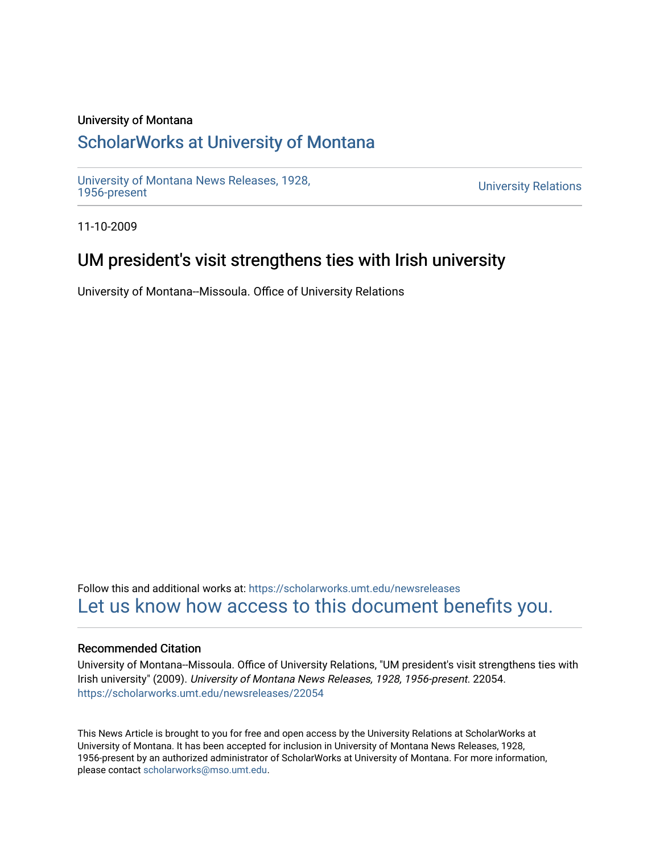### University of Montana

## [ScholarWorks at University of Montana](https://scholarworks.umt.edu/)

[University of Montana News Releases, 1928,](https://scholarworks.umt.edu/newsreleases) 

**University Relations** 

11-10-2009

## UM president's visit strengthens ties with Irish university

University of Montana--Missoula. Office of University Relations

Follow this and additional works at: [https://scholarworks.umt.edu/newsreleases](https://scholarworks.umt.edu/newsreleases?utm_source=scholarworks.umt.edu%2Fnewsreleases%2F22054&utm_medium=PDF&utm_campaign=PDFCoverPages) [Let us know how access to this document benefits you.](https://goo.gl/forms/s2rGfXOLzz71qgsB2) 

#### Recommended Citation

University of Montana--Missoula. Office of University Relations, "UM president's visit strengthens ties with Irish university" (2009). University of Montana News Releases, 1928, 1956-present. 22054. [https://scholarworks.umt.edu/newsreleases/22054](https://scholarworks.umt.edu/newsreleases/22054?utm_source=scholarworks.umt.edu%2Fnewsreleases%2F22054&utm_medium=PDF&utm_campaign=PDFCoverPages) 

This News Article is brought to you for free and open access by the University Relations at ScholarWorks at University of Montana. It has been accepted for inclusion in University of Montana News Releases, 1928, 1956-present by an authorized administrator of ScholarWorks at University of Montana. For more information, please contact [scholarworks@mso.umt.edu.](mailto:scholarworks@mso.umt.edu)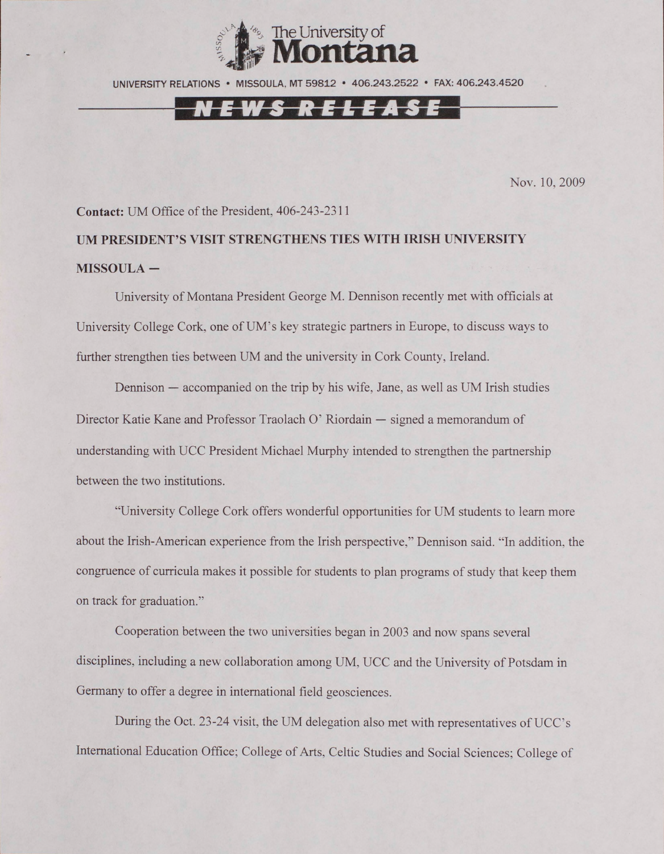

UNIVERSITY RELATIONS • MISSOULA. MT 59812 • 406.243.2522 • FAX: 406.243.4520

# EWS RELEASE

Nov. 10, 2009

#### **Contact:** UM Office of the President, 406-243-2311

**UM PRESIDENT'S VISIT STRENGTHENS TIES WITH IRISH UNIVERSITY MISSOULA -**

University of Montana President George M. Dennison recently met with officials at University College Cork, one of UM's key strategic partners in Europe, to discuss ways to further strengthen ties between UM and the university in Cork County, Ireland.

Dennison — accompanied on the trip by his wife, Jane, as well as UM Irish studies Director Katie Kane and Professor Traolach O' Riordain — signed a memorandum of understanding with UCC President Michael Murphy intended to strengthen the partnership between the two institutions.

"University College Cork offers wonderful opportunities for UM students to learn more about the Irish-American experience from the Irish perspective," Dennison said. "In addition, the congruence of curricula makes it possible for students to plan programs of study that keep them on track for graduation."

Cooperation between the two universities began in 2003 and now spans several disciplines, including a new collaboration among UM, UCC and the University of Potsdam in Germany to offer a degree in international field geosciences.

During the Oct. 23-24 visit, the UM delegation also met with representatives of UCC's International Education Office; College of Arts, Celtic Studies and Social Sciences; College of